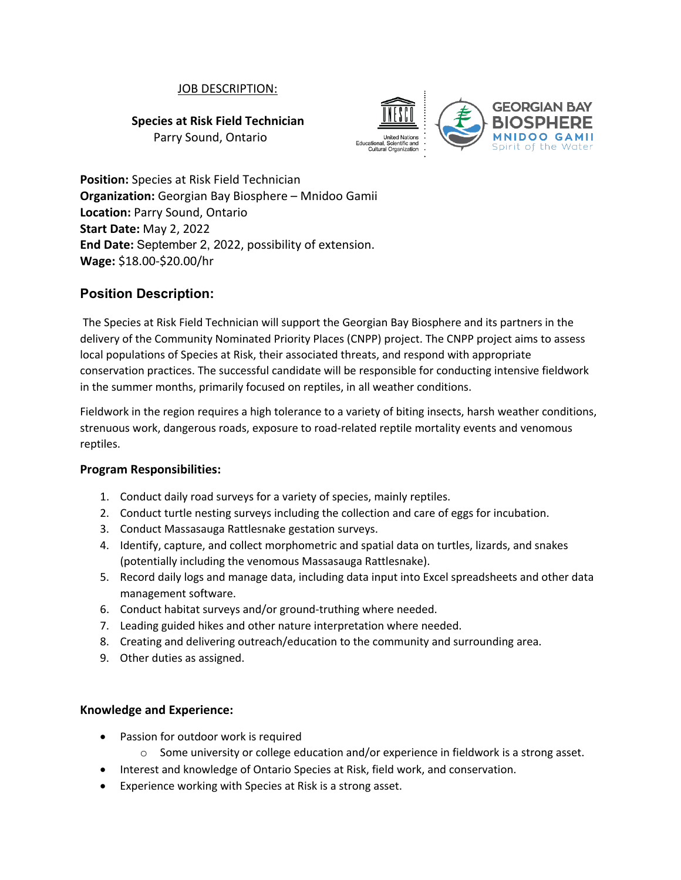## JOB DESCRIPTION:

**Species at Risk Field Technician**

Parry Sound, Ontario



**Position:** Species at Risk Field Technician **Organization:** Georgian Bay Biosphere – Mnidoo Gamii **Location:** Parry Sound, Ontario **Start Date:** May 2, 2022 **End Date:** September 2, 2022, possibility of extension. **Wage:** \$18.00-\$20.00/hr

# **Position Description:**

The Species at Risk Field Technician will support the Georgian Bay Biosphere and its partners in the delivery of the Community Nominated Priority Places (CNPP) project. The CNPP project aims to assess local populations of Species at Risk, their associated threats, and respond with appropriate conservation practices. The successful candidate will be responsible for conducting intensive fieldwork in the summer months, primarily focused on reptiles, in all weather conditions.

Fieldwork in the region requires a high tolerance to a variety of biting insects, harsh weather conditions, strenuous work, dangerous roads, exposure to road-related reptile mortality events and venomous reptiles.

## **Program Responsibilities:**

- 1. Conduct daily road surveys for a variety of species, mainly reptiles.
- 2. Conduct turtle nesting surveys including the collection and care of eggs for incubation.
- 3. Conduct Massasauga Rattlesnake gestation surveys.
- 4. Identify, capture, and collect morphometric and spatial data on turtles, lizards, and snakes (potentially including the venomous Massasauga Rattlesnake).
- 5. Record daily logs and manage data, including data input into Excel spreadsheets and other data management software.
- 6. Conduct habitat surveys and/or ground-truthing where needed.
- 7. Leading guided hikes and other nature interpretation where needed.
- 8. Creating and delivering outreach/education to the community and surrounding area.
- 9. Other duties as assigned.

## **Knowledge and Experience:**

- Passion for outdoor work is required
	- $\circ$  Some university or college education and/or experience in fieldwork is a strong asset.
- Interest and knowledge of Ontario Species at Risk, field work, and conservation.
- Experience working with Species at Risk is a strong asset.